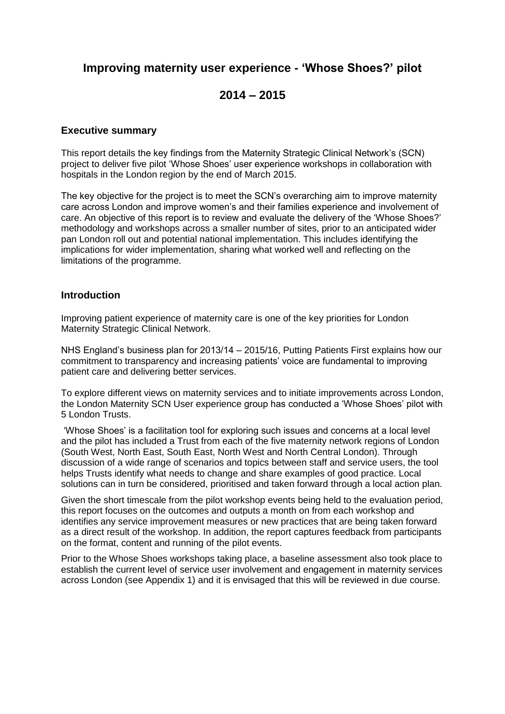# **Improving maternity user experience - 'Whose Shoes?' pilot**

# **2014 – 2015**

## **Executive summary**

This report details the key findings from the Maternity Strategic Clinical Network's (SCN) project to deliver five pilot 'Whose Shoes' user experience workshops in collaboration with hospitals in the London region by the end of March 2015.

The key objective for the project is to meet the SCN's overarching aim to improve maternity care across London and improve women's and their families experience and involvement of care. An objective of this report is to review and evaluate the delivery of the 'Whose Shoes?' methodology and workshops across a smaller number of sites, prior to an anticipated wider pan London roll out and potential national implementation. This includes identifying the implications for wider implementation, sharing what worked well and reflecting on the limitations of the programme.

## **Introduction**

Improving patient experience of maternity care is one of the key priorities for London Maternity Strategic Clinical Network.

NHS England's business plan for 2013/14 – 2015/16, Putting Patients First explains how our commitment to transparency and increasing patients' voice are fundamental to improving patient care and delivering better services.

To explore different views on maternity services and to initiate improvements across London, the London Maternity SCN User experience group has conducted a 'Whose Shoes' pilot with 5 London Trusts.

'Whose Shoes' is a facilitation tool for exploring such issues and concerns at a local level and the pilot has included a Trust from each of the five maternity network regions of London (South West, North East, South East, North West and North Central London). Through discussion of a wide range of scenarios and topics between staff and service users, the tool helps Trusts identify what needs to change and share examples of good practice. Local solutions can in turn be considered, prioritised and taken forward through a local action plan.

Given the short timescale from the pilot workshop events being held to the evaluation period, this report focuses on the outcomes and outputs a month on from each workshop and identifies any service improvement measures or new practices that are being taken forward as a direct result of the workshop. In addition, the report captures feedback from participants on the format, content and running of the pilot events.

Prior to the Whose Shoes workshops taking place, a baseline assessment also took place to establish the current level of service user involvement and engagement in maternity services across London (see Appendix 1) and it is envisaged that this will be reviewed in due course.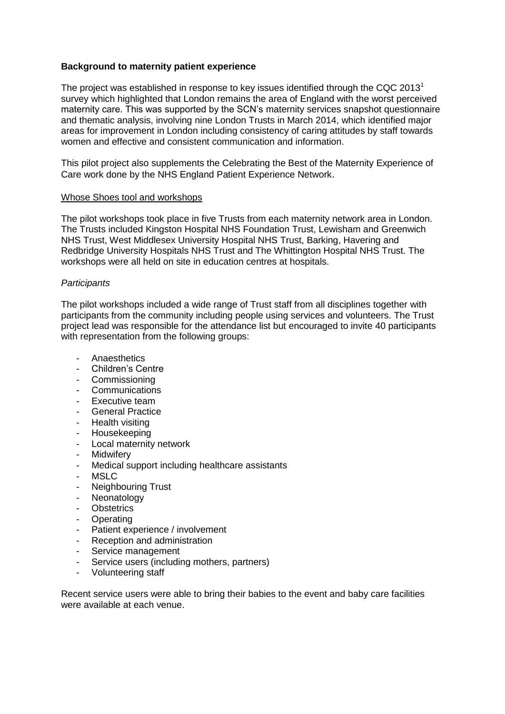## **Background to maternity patient experience**

The project was established in response to key issues identified through the CQC 2013<sup>1</sup> survey which highlighted that London remains the area of England with the worst perceived maternity care. This was supported by the SCN's maternity services snapshot questionnaire and thematic analysis, involving nine London Trusts in March 2014, which identified major areas for improvement in London including consistency of caring attitudes by staff towards women and effective and consistent communication and information.

This pilot project also supplements the Celebrating the Best of the Maternity Experience of Care work done by the NHS England Patient Experience Network.

#### Whose Shoes tool and workshops

The pilot workshops took place in five Trusts from each maternity network area in London. The Trusts included Kingston Hospital NHS Foundation Trust, Lewisham and Greenwich NHS Trust, West Middlesex University Hospital NHS Trust, Barking, Havering and Redbridge University Hospitals NHS Trust and The Whittington Hospital NHS Trust. The workshops were all held on site in education centres at hospitals.

#### *Participants*

The pilot workshops included a wide range of Trust staff from all disciplines together with participants from the community including people using services and volunteers. The Trust project lead was responsible for the attendance list but encouraged to invite 40 participants with representation from the following groups:

- **Anaesthetics**
- Children's Centre
- **Commissioning**
- **Communications**
- Executive team
- General Practice
- Health visiting
- Housekeeping
- Local maternity network
- Midwifery
- Medical support including healthcare assistants
- MSLC
- Neighbouring Trust
- **Neonatology**
- **Obstetrics**
- Operating
- Patient experience / involvement
- Reception and administration
- Service management
- Service users (including mothers, partners)
- Volunteering staff

Recent service users were able to bring their babies to the event and baby care facilities were available at each venue.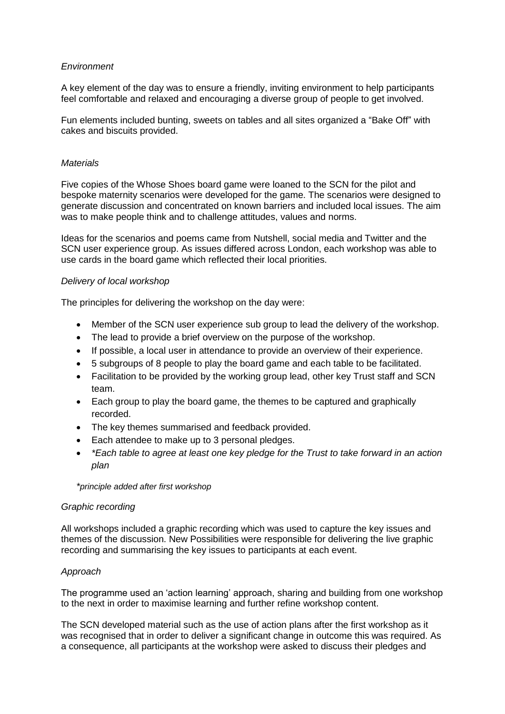## *Environment*

A key element of the day was to ensure a friendly, inviting environment to help participants feel comfortable and relaxed and encouraging a diverse group of people to get involved.

Fun elements included bunting, sweets on tables and all sites organized a "Bake Off" with cakes and biscuits provided.

#### *Materials*

Five copies of the Whose Shoes board game were loaned to the SCN for the pilot and bespoke maternity scenarios were developed for the game. The scenarios were designed to generate discussion and concentrated on known barriers and included local issues. The aim was to make people think and to challenge attitudes, values and norms.

Ideas for the scenarios and poems came from Nutshell, social media and Twitter and the SCN user experience group. As issues differed across London, each workshop was able to use cards in the board game which reflected their local priorities.

## *Delivery of local workshop*

The principles for delivering the workshop on the day were:

- Member of the SCN user experience sub group to lead the delivery of the workshop.
- The lead to provide a brief overview on the purpose of the workshop.
- If possible, a local user in attendance to provide an overview of their experience.
- 5 subgroups of 8 people to play the board game and each table to be facilitated.
- Facilitation to be provided by the working group lead, other key Trust staff and SCN team.
- Each group to play the board game, the themes to be captured and graphically recorded.
- The key themes summarised and feedback provided.
- Each attendee to make up to 3 personal pledges.
- *\*Each table to agree at least one key pledge for the Trust to take forward in an action plan*

*\*principle added after first workshop*

#### *Graphic recording*

All workshops included a graphic recording which was used to capture the key issues and themes of the discussion. New Possibilities were responsible for delivering the live graphic recording and summarising the key issues to participants at each event.

## *Approach*

The programme used an 'action learning' approach, sharing and building from one workshop to the next in order to maximise learning and further refine workshop content.

The SCN developed material such as the use of action plans after the first workshop as it was recognised that in order to deliver a significant change in outcome this was required. As a consequence, all participants at the workshop were asked to discuss their pledges and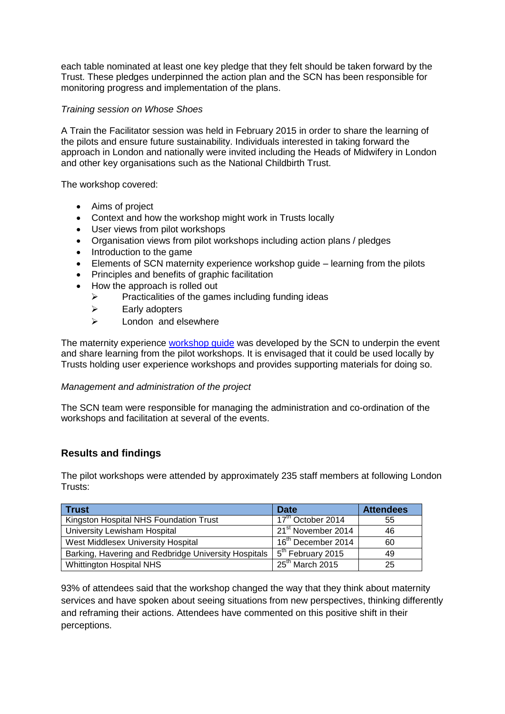each table nominated at least one key pledge that they felt should be taken forward by the Trust. These pledges underpinned the action plan and the SCN has been responsible for monitoring progress and implementation of the plans.

## *Training session on Whose Shoes*

A Train the Facilitator session was held in February 2015 in order to share the learning of the pilots and ensure future sustainability. Individuals interested in taking forward the approach in London and nationally were invited including the Heads of Midwifery in London and other key organisations such as the National Childbirth Trust.

The workshop covered:

- Aims of project
- Context and how the workshop might work in Trusts locally
- User views from pilot workshops
- Organisation views from pilot workshops including action plans / pledges
- Introduction to the game
- Elements of SCN maternity experience workshop guide learning from the pilots
- Principles and benefits of graphic facilitation
- How the approach is rolled out
	- $\triangleright$  Practicalities of the games including funding ideas
	- $\triangleright$  Early adopters
	- $\triangleright$  London and elsewhere

The maternity experience [workshop guide](http://www.londonscn.nhs.uk/wp-content/uploads/2015/02/mat-user-experience-toolkit-022015.pdf) was developed by the SCN to underpin the event and share learning from the pilot workshops. It is envisaged that it could be used locally by Trusts holding user experience workshops and provides supporting materials for doing so.

## *Management and administration of the project*

The SCN team were responsible for managing the administration and co-ordination of the workshops and facilitation at several of the events.

## **Results and findings**

The pilot workshops were attended by approximately 235 staff members at following London Trusts:

| <b>Trust</b>                                         | <b>Date</b>                    | <b>Attendees</b> |
|------------------------------------------------------|--------------------------------|------------------|
| Kingston Hospital NHS Foundation Trust               | 17 <sup>th</sup> October 2014  | 55               |
| University Lewisham Hospital                         | 21 <sup>st</sup> November 2014 | 46               |
| West Middlesex University Hospital                   | 16 <sup>th</sup> December 2014 | 60               |
| Barking, Havering and Redbridge University Hospitals | 5 <sup>th</sup> February 2015  | 49               |
| <b>Whittington Hospital NHS</b>                      | $25th$ March 2015              | 25               |

93% of attendees said that the workshop changed the way that they think about maternity services and have spoken about seeing situations from new perspectives, thinking differently and reframing their actions. Attendees have commented on this positive shift in their perceptions.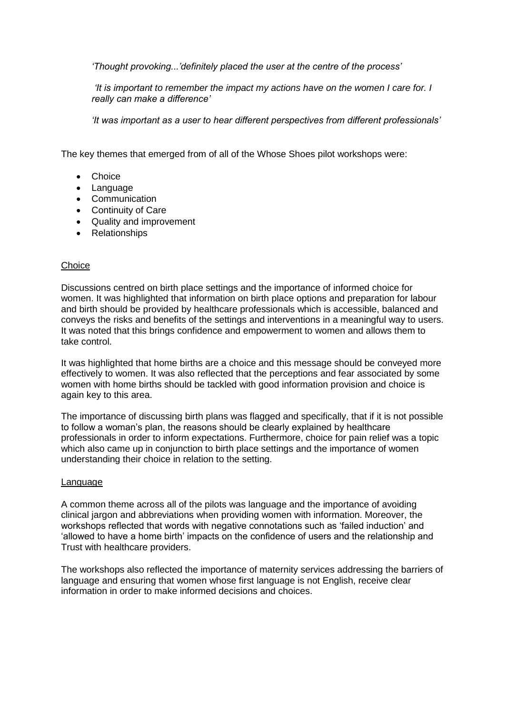*'Thought provoking...'definitely placed the user at the centre of the process'*

*'It is important to remember the impact my actions have on the women I care for. I really can make a difference'* 

*'It was important as a user to hear different perspectives from different professionals'*

The key themes that emerged from of all of the Whose Shoes pilot workshops were:

- Choice
- Language
- Communication
- Continuity of Care
- Quality and improvement
- Relationships

## **Choice**

Discussions centred on birth place settings and the importance of informed choice for women. It was highlighted that information on birth place options and preparation for labour and birth should be provided by healthcare professionals which is accessible, balanced and conveys the risks and benefits of the settings and interventions in a meaningful way to users. It was noted that this brings confidence and empowerment to women and allows them to take control.

It was highlighted that home births are a choice and this message should be conveyed more effectively to women. It was also reflected that the perceptions and fear associated by some women with home births should be tackled with good information provision and choice is again key to this area.

The importance of discussing birth plans was flagged and specifically, that if it is not possible to follow a woman's plan, the reasons should be clearly explained by healthcare professionals in order to inform expectations. Furthermore, choice for pain relief was a topic which also came up in conjunction to birth place settings and the importance of women understanding their choice in relation to the setting.

#### Language

A common theme across all of the pilots was language and the importance of avoiding clinical jargon and abbreviations when providing women with information. Moreover, the workshops reflected that words with negative connotations such as 'failed induction' and 'allowed to have a home birth' impacts on the confidence of users and the relationship and Trust with healthcare providers.

The workshops also reflected the importance of maternity services addressing the barriers of language and ensuring that women whose first language is not English, receive clear information in order to make informed decisions and choices.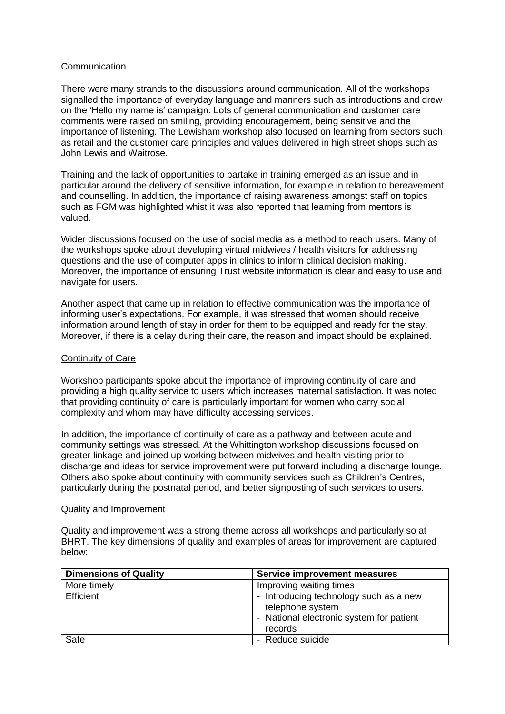#### **Communication**

There were many strands to the discussions around communication. All of the workshops signalled the importance of everyday language and manners such as introductions and drew on the 'Hello my name is' campaign. Lots of general communication and customer care comments were raised on smiling, providing encouragement, being sensitive and the importance of listening. The Lewisham workshop also focused on learning from sectors such as retail and the customer care principles and values delivered in high street shops such as John Lewis and Waitrose.

Training and the lack of opportunities to partake in training emerged as an issue and in particular around the delivery of sensitive information, for example in relation to bereavement and counselling. In addition, the importance of raising awareness amongst staff on topics such as FGM was highlighted whist it was also reported that learning from mentors is valued.

Wider discussions focused on the use of social media as a method to reach users. Many of the workshops spoke about developing virtual midwives / health visitors for addressing questions and the use of computer apps in clinics to inform clinical decision making. Moreover, the importance of ensuring Trust website information is clear and easy to use and navigate for users.

Another aspect that came up in relation to effective communication was the importance of informing user's expectations. For example, it was stressed that women should receive information around length of stay in order for them to be equipped and ready for the stay. Moreover, if there is a delay during their care, the reason and impact should be explained.

#### Continuity of Care

Workshop participants spoke about the importance of improving continuity of care and providing a high quality service to users which increases maternal satisfaction. It was noted that providing continuity of care is particularly important for women who carry social complexity and whom may have difficulty accessing services.

In addition, the importance of continuity of care as a pathway and between acute and community settings was stressed. At the Whittington workshop discussions focused on greater linkage and joined up working between midwives and health visiting prior to discharge and ideas for service improvement were put forward including a discharge lounge. Others also spoke about continuity with community services such as Children's Centres, particularly during the postnatal period, and better signposting of such services to users.

#### Quality and Improvement

Quality and improvement was a strong theme across all workshops and particularly so at BHRT. The key dimensions of quality and examples of areas for improvement are captured below:

| <b>Dimensions of Quality</b> | <b>Service improvement measures</b>                                                                               |
|------------------------------|-------------------------------------------------------------------------------------------------------------------|
| More timely                  | Improving waiting times                                                                                           |
| <b>Efficient</b>             | - Introducing technology such as a new<br>telephone system<br>- National electronic system for patient<br>records |
| Safe                         | - Reduce suicide                                                                                                  |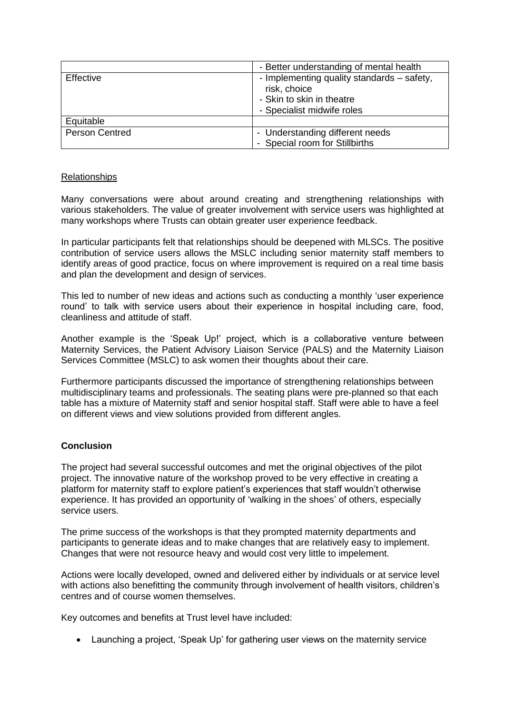|                       | - Better understanding of mental health                                                                               |
|-----------------------|-----------------------------------------------------------------------------------------------------------------------|
| Effective             | - Implementing quality standards – safety,<br>risk, choice<br>- Skin to skin in theatre<br>- Specialist midwife roles |
| Equitable             |                                                                                                                       |
| <b>Person Centred</b> | - Understanding different needs<br>- Special room for Stillbirths                                                     |

## Relationships

Many conversations were about around creating and strengthening relationships with various stakeholders. The value of greater involvement with service users was highlighted at many workshops where Trusts can obtain greater user experience feedback.

In particular participants felt that relationships should be deepened with MLSCs. The positive contribution of service users allows the MSLC including senior maternity staff members to identify areas of good practice, focus on where improvement is required on a real time basis and plan the development and design of services.

This led to number of new ideas and actions such as conducting a monthly 'user experience round' to talk with service users about their experience in hospital including care, food, cleanliness and attitude of staff.

Another example is the 'Speak Up!' project, which is a collaborative venture between Maternity Services, the Patient Advisory Liaison Service (PALS) and the Maternity Liaison Services Committee (MSLC) to ask women their thoughts about their care.

Furthermore participants discussed the importance of strengthening relationships between multidisciplinary teams and professionals. The seating plans were pre-planned so that each table has a mixture of Maternity staff and senior hospital staff. Staff were able to have a feel on different views and view solutions provided from different angles.

## **Conclusion**

The project had several successful outcomes and met the original objectives of the pilot project. The innovative nature of the workshop proved to be very effective in creating a platform for maternity staff to explore patient's experiences that staff wouldn't otherwise experience. It has provided an opportunity of 'walking in the shoes' of others, especially service users.

The prime success of the workshops is that they prompted maternity departments and participants to generate ideas and to make changes that are relatively easy to implement. Changes that were not resource heavy and would cost very little to impelement.

Actions were locally developed, owned and delivered either by individuals or at service level with actions also benefitting the community through involvement of health visitors, children's centres and of course women themselves.

Key outcomes and benefits at Trust level have included:

• Launching a project, 'Speak Up' for gathering user views on the maternity service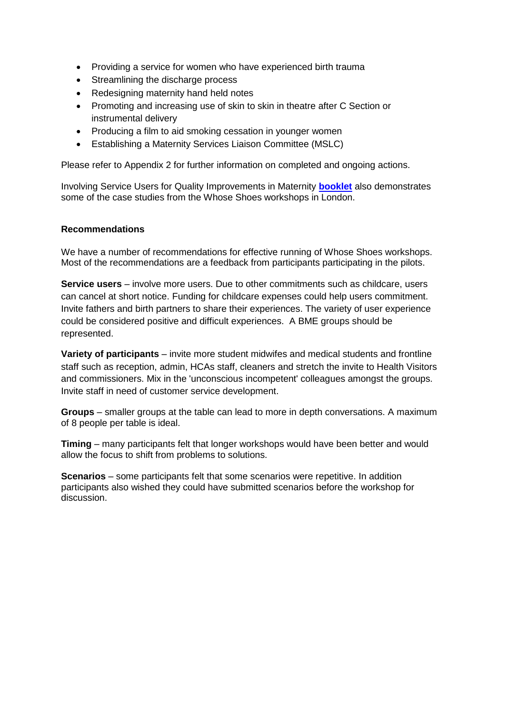- Providing a service for women who have experienced birth trauma
- Streamlining the discharge process
- Redesigning maternity hand held notes
- Promoting and increasing use of skin to skin in theatre after C Section or instrumental delivery
- Producing a film to aid smoking cessation in younger women
- Establishing a Maternity Services Liaison Committee (MSLC)

Please refer to Appendix 2 for further information on completed and ongoing actions.

Involving Service Users for Quality Improvements in Maternity **[booklet](http://www.londonscn.nhs.uk/wp-content/uploads/2015/12/mat-ppei-case-studies-ws-122015.pdf)** also demonstrates some of the case studies from the Whose Shoes workshops in London.

#### **Recommendations**

We have a number of recommendations for effective running of Whose Shoes workshops. Most of the recommendations are a feedback from participants participating in the pilots.

**Service users** – involve more users. Due to other commitments such as childcare, users can cancel at short notice. Funding for childcare expenses could help users commitment. Invite fathers and birth partners to share their experiences. The variety of user experience could be considered positive and difficult experiences. A BME groups should be represented.

**Variety of participants** – invite more student midwifes and medical students and frontline staff such as reception, admin, HCAs staff, cleaners and stretch the invite to Health Visitors and commissioners. Mix in the 'unconscious incompetent' colleagues amongst the groups. Invite staff in need of customer service development.

**Groups** – smaller groups at the table can lead to more in depth conversations. A maximum of 8 people per table is ideal.

**Timing** – many participants felt that longer workshops would have been better and would allow the focus to shift from problems to solutions.

**Scenarios** – some participants felt that some scenarios were repetitive. In addition participants also wished they could have submitted scenarios before the workshop for discussion.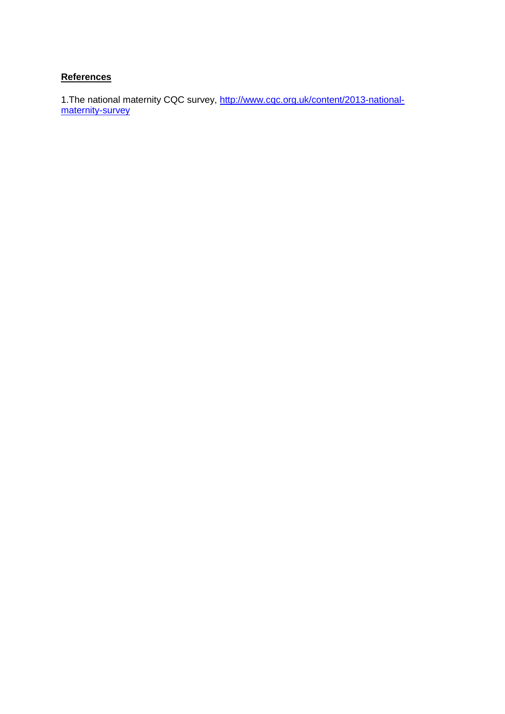## **References**

1. The national maternity CQC survey, [http://www.cqc.org.uk/content/2013-national](http://www.cqc.org.uk/content/2013-national-maternity-survey)[maternity-survey](http://www.cqc.org.uk/content/2013-national-maternity-survey)